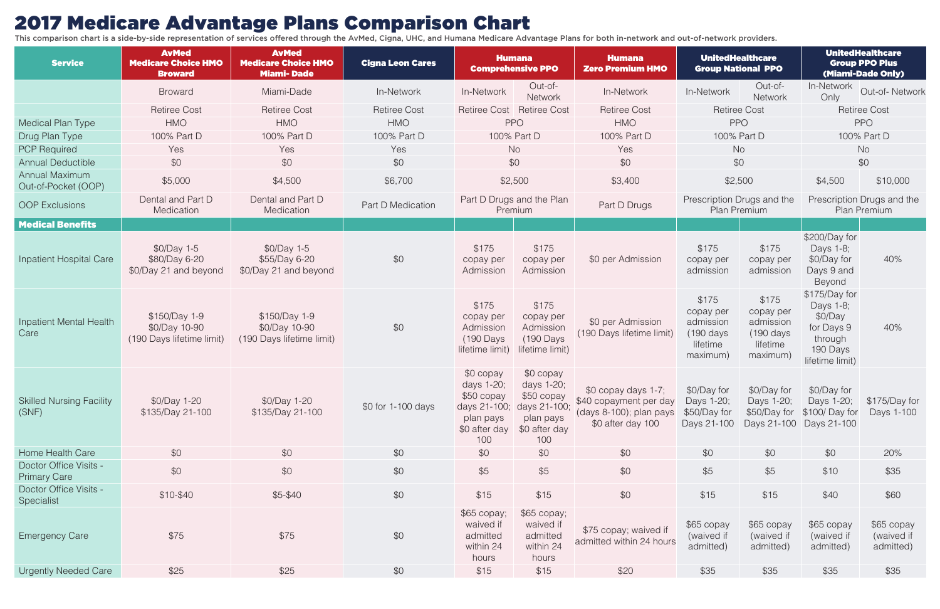## 2017 Medicare Advantage Plans Comparison Chart

This comparison chart is a side-by-side representation of services offered through the AvMed, Cigna, UHC, and Humana Medicare Advantage Plans for both in-network and out-of-network providers.

| <b>Service</b>                                | <b>AvMed</b><br><b>Medicare Choice HMO</b><br><b>Broward</b> | <b>AvMed</b><br><b>Medicare Choice HMO</b><br><b>Miami-Dade</b> | <b>Cigna Leon Cares</b> | <b>Humana</b><br><b>Comprehensive PPO</b>                                                  |                                                                                            | <b>Humana</b><br><b>Zero Premium HMO</b>                                                       | <b>UnitedHealthcare</b><br><b>Group National PPO</b>                            |                                                                      | <b>UnitedHealthcare</b><br><b>Group PPO Plus</b><br>(Miami-Dade Only)                         |                                       |
|-----------------------------------------------|--------------------------------------------------------------|-----------------------------------------------------------------|-------------------------|--------------------------------------------------------------------------------------------|--------------------------------------------------------------------------------------------|------------------------------------------------------------------------------------------------|---------------------------------------------------------------------------------|----------------------------------------------------------------------|-----------------------------------------------------------------------------------------------|---------------------------------------|
|                                               | <b>Broward</b>                                               | Miami-Dade                                                      | In-Network              | In-Network                                                                                 | Out-of-<br>Network                                                                         | In-Network                                                                                     | In-Network                                                                      | Out-of-<br>Network                                                   | In-Network<br>Only                                                                            | Out-of-Network                        |
|                                               | <b>Retiree Cost</b>                                          | <b>Retiree Cost</b>                                             | <b>Retiree Cost</b>     | <b>Retiree Cost</b>                                                                        | <b>Retiree Cost</b>                                                                        | <b>Retiree Cost</b>                                                                            | <b>Retiree Cost</b>                                                             |                                                                      |                                                                                               | <b>Retiree Cost</b>                   |
| Medical Plan Type                             | <b>HMO</b>                                                   | <b>HMO</b>                                                      | <b>HMO</b>              |                                                                                            | <b>PPO</b>                                                                                 | <b>HMO</b>                                                                                     | <b>PPO</b>                                                                      |                                                                      |                                                                                               | <b>PPO</b>                            |
| Drug Plan Type                                | 100% Part D                                                  | 100% Part D                                                     | 100% Part D             |                                                                                            | 100% Part D                                                                                | 100% Part D                                                                                    |                                                                                 | 100% Part D                                                          |                                                                                               | 100% Part D                           |
| <b>PCP Required</b>                           | Yes                                                          | Yes                                                             | Yes                     | No                                                                                         |                                                                                            | Yes                                                                                            | <b>No</b>                                                                       |                                                                      |                                                                                               | <b>No</b>                             |
| <b>Annual Deductible</b>                      | \$0                                                          | \$0                                                             | \$0                     | \$0                                                                                        |                                                                                            | \$0                                                                                            | \$0                                                                             |                                                                      |                                                                                               | \$0                                   |
| <b>Annual Maximum</b><br>Out-of-Pocket (OOP)  | \$5,000                                                      | \$4,500                                                         | \$6,700                 | \$2,500<br>\$3,400                                                                         |                                                                                            | \$2,500                                                                                        |                                                                                 | \$4,500                                                              | \$10,000                                                                                      |                                       |
| <b>OOP Exclusions</b>                         | Dental and Part D<br>Medication                              | Dental and Part D<br>Medication                                 | Part D Medication       | Part D Drugs and the Plan<br>Part D Drugs<br>Premium                                       |                                                                                            |                                                                                                | Prescription Drugs and the<br>Plan Premium                                      |                                                                      | Prescription Drugs and the<br>Plan Premium                                                    |                                       |
| <b>Medical Benefits</b>                       |                                                              |                                                                 |                         |                                                                                            |                                                                                            |                                                                                                |                                                                                 |                                                                      |                                                                                               |                                       |
| Inpatient Hospital Care                       | $$0/Day$ 1-5<br>\$80/Day 6-20<br>\$0/Day 21 and beyond       | $$0/Day$ 1-5<br>\$55/Day 6-20<br>\$0/Day 21 and beyond          | \$0                     | \$175<br>copay per<br>Admission                                                            | \$175<br>copay per<br>Admission                                                            | \$0 per Admission                                                                              | \$175<br>copay per<br>admission                                                 | \$175<br>copay per<br>admission                                      | \$200/Day for<br>Days 1-8;<br>\$0/Day for<br>Days 9 and<br>Beyond                             | 40%                                   |
| Inpatient Mental Health<br>Care               | \$150/Day 1-9<br>\$0/Day 10-90<br>(190 Days lifetime limit)  | \$150/Day 1-9<br>\$0/Day 10-90<br>(190 Days lifetime limit)     | \$0                     | \$175<br>copay per<br>Admission<br>(190 Days<br>lifetime limit)                            | \$175<br>copay per<br>Admission<br>(190 Days<br>lifetime limit)                            | \$0 per Admission<br>(190 Days lifetime limit)                                                 | \$175<br>copay per<br>admission<br>$(190 \text{ days})$<br>lifetime<br>maximum) | \$175<br>copay per<br>admission<br>(190 days<br>lifetime<br>maximum) | \$175/Day for<br>Days 1-8;<br>\$0/Day<br>for Days 9<br>through<br>190 Days<br>lifetime limit) | 40%                                   |
| <b>Skilled Nursing Facility</b><br>(SNF)      | \$0/Day 1-20<br>\$135/Day 21-100                             | \$0/Day 1-20<br>\$135/Day 21-100                                | \$0 for 1-100 days      | \$0 copay<br>days 1-20;<br>\$50 copay<br>days 21-100;<br>plan pays<br>\$0 after day<br>100 | \$0 copay<br>days 1-20;<br>\$50 copay<br>days 21-100;<br>plan pays<br>\$0 after day<br>100 | $$0$ copay days 1-7;<br>\$40 copayment per day<br>(days 8-100); plan pays<br>\$0 after day 100 | \$0/Day for<br>Days 1-20;<br>\$50/Day for<br>Days 21-100                        | \$0/Day for<br>Days 1-20;<br>\$50/Day for<br>Days 21-100             | \$0/Day for<br>Days 1-20;<br>\$100/ Day for<br>Days 21-100                                    | \$175/Day for<br>Days 1-100           |
| Home Health Care                              | \$0                                                          | \$0                                                             | \$0                     | \$0                                                                                        | \$0                                                                                        | \$0                                                                                            | \$0                                                                             | \$0                                                                  | \$0                                                                                           | 20%                                   |
| Doctor Office Visits -<br><b>Primary Care</b> | \$0                                                          | \$0                                                             | \$0                     | \$5                                                                                        | \$5                                                                                        | \$0                                                                                            | \$5                                                                             | \$5                                                                  | \$10                                                                                          | \$35                                  |
| Doctor Office Visits -<br>Specialist          | $$10-$40$                                                    | \$5-\$40                                                        | \$0                     | \$15                                                                                       | \$15                                                                                       | \$0                                                                                            | \$15                                                                            | \$15                                                                 | \$40                                                                                          | \$60                                  |
| <b>Emergency Care</b>                         | \$75                                                         | \$75                                                            | \$0                     | $$65$ copay;<br>waived if<br>admitted<br>within 24<br>hours                                | $$65$ copay;<br>waived if<br>admitted<br>within 24<br>hours                                | \$75 copay; waived if<br>admitted within 24 hours                                              | \$65 copay<br>(waived if<br>admitted)                                           | \$65 copay<br>(waived if<br>admitted)                                | \$65 copay<br>(waived if<br>admitted)                                                         | \$65 copay<br>(waived if<br>admitted) |
| <b>Urgently Needed Care</b>                   | \$25                                                         | \$25                                                            | \$0                     | \$15                                                                                       | \$15                                                                                       | \$20                                                                                           | \$35                                                                            | \$35                                                                 | \$35                                                                                          | \$35                                  |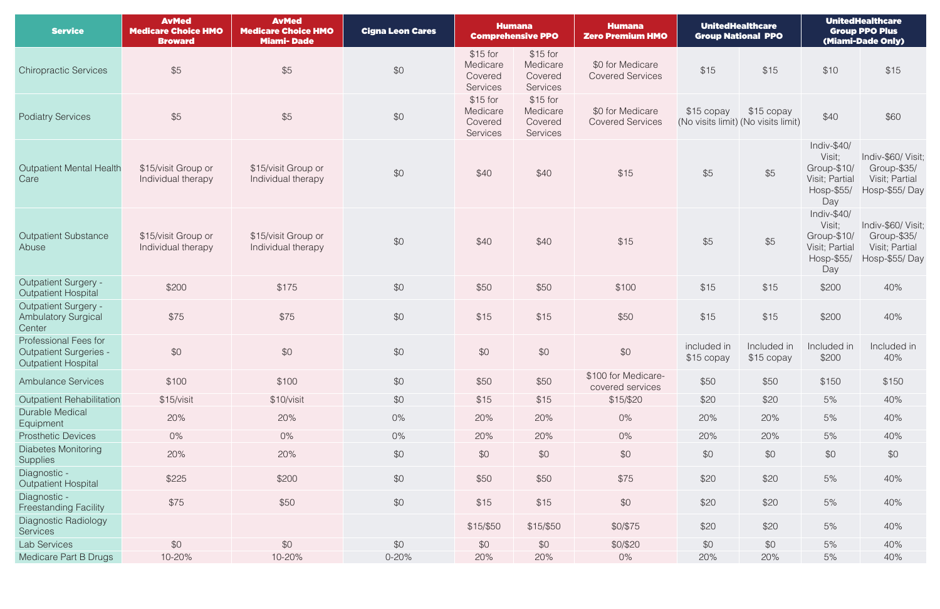| <b>Service</b>                                                                       | <b>AvMed</b><br><b>Medicare Choice HMO</b><br><b>Broward</b> | <b>AvMed</b><br><b>Medicare Choice HMO</b><br><b>Miami-Dade</b> | <b>Cigna Leon Cares</b> | <b>Humana</b><br><b>Comprehensive PPO</b>    |                                              | UnitedHealthcare<br><b>Humana</b><br><b>Group National PPO</b><br>Zero Premium HMO |             |                                                    | <b>UnitedHealthcare</b><br><b>Group PPO Plus</b><br>(Miami-Dade Only)         |                                                                      |
|--------------------------------------------------------------------------------------|--------------------------------------------------------------|-----------------------------------------------------------------|-------------------------|----------------------------------------------|----------------------------------------------|------------------------------------------------------------------------------------|-------------|----------------------------------------------------|-------------------------------------------------------------------------------|----------------------------------------------------------------------|
| <b>Chiropractic Services</b>                                                         | \$5                                                          | \$5                                                             | \$0                     | $$15$ for<br>Medicare<br>Covered<br>Services | \$15 for<br>Medicare<br>Covered<br>Services  | \$0 for Medicare<br><b>Covered Services</b>                                        | \$15        | \$15                                               | \$10                                                                          | \$15                                                                 |
| <b>Podiatry Services</b>                                                             | \$5                                                          | \$5                                                             | \$0                     | \$15 for<br>Medicare<br>Covered<br>Services  | $$15$ for<br>Medicare<br>Covered<br>Services | \$0 for Medicare<br><b>Covered Services</b>                                        | \$15 copay  | $$15$ copay<br>(No visits limit) (No visits limit) | \$40                                                                          | \$60                                                                 |
| Outpatient Mental Health<br>Care                                                     | \$15/visit Group or<br>Individual therapy                    | \$15/visit Group or<br>Individual therapy                       | \$0                     | \$40                                         | \$40                                         | \$15                                                                               | \$5         | \$5                                                | Indiv- $$40/$<br>Visit;<br>Group-\$10/<br>Visit; Partial<br>Hosp-\$55/<br>Day | Indiv-\$60/ Visit;<br>Group-\$35/<br>Visit; Partial<br>Hosp-\$55/Day |
| <b>Outpatient Substance</b><br>Abuse                                                 | \$15/visit Group or<br>Individual therapy                    | \$15/visit Group or<br>Individual therapy                       | \$0                     | \$40                                         | \$40                                         | \$15                                                                               | \$5         | \$5                                                | Indiv-\$40/<br>Visit;<br>Group-\$10/<br>Visit; Partial<br>Hosp-\$55/<br>Day   | Indiv-\$60/ Visit;<br>Group-\$35/<br>Visit; Partial<br>Hosp-\$55/Day |
| <b>Outpatient Surgery -</b><br><b>Outpatient Hospital</b>                            | \$200                                                        | \$175                                                           | \$0                     | \$50                                         | \$50                                         | \$100                                                                              | \$15        | \$15                                               | \$200                                                                         | 40%                                                                  |
| <b>Outpatient Surgery -</b><br><b>Ambulatory Surgical</b><br>Center                  | \$75                                                         | \$75                                                            | \$0                     | \$15                                         | \$15                                         | \$50                                                                               | \$15        | \$15                                               | \$200                                                                         | 40%                                                                  |
| Professional Fees for<br><b>Outpatient Surgeries -</b><br><b>Outpatient Hospital</b> | \$0                                                          | \$0                                                             | \$0                     | \$0                                          | \$0                                          | \$0                                                                                | included in | Included in<br>$$15$ copay $$15$ copay             | Included in<br>\$200                                                          | Included in<br>40%                                                   |
| <b>Ambulance Services</b>                                                            | \$100                                                        | \$100                                                           | \$0                     | \$50                                         | \$50                                         | \$100 for Medicare-<br>covered services                                            | \$50        | \$50                                               | \$150                                                                         | \$150                                                                |
| <b>Outpatient Rehabilitation</b>                                                     | \$15/visit                                                   | \$10/visit                                                      | \$0                     | \$15                                         | \$15                                         | \$15/\$20                                                                          | \$20        | \$20                                               | 5%                                                                            | 40%                                                                  |
| <b>Durable Medical</b><br>Equipment                                                  | 20%                                                          | 20%                                                             | $0\%$                   | 20%                                          | 20%                                          | $0\%$                                                                              | 20%         | 20%                                                | 5%                                                                            | 40%                                                                  |
| <b>Prosthetic Devices</b>                                                            | 0%                                                           | $0\%$                                                           | $0\%$                   | 20%                                          | 20%                                          | $0\%$                                                                              | 20%         | 20%                                                | 5%                                                                            | 40%                                                                  |
| <b>Diabetes Monitoring</b><br><b>Supplies</b>                                        | 20%                                                          | 20%                                                             | \$0                     | \$0                                          | \$0                                          | \$0                                                                                | \$0         | \$0                                                | \$0                                                                           | \$0                                                                  |
| Diagnostic -<br><b>Outpatient Hospital</b>                                           | \$225                                                        | \$200                                                           | \$0                     | \$50                                         | \$50                                         | \$75                                                                               | \$20        | \$20                                               | 5%                                                                            | 40%                                                                  |
| Diagnostic -<br><b>Freestanding Facility</b>                                         | \$75                                                         | \$50                                                            | \$0                     | \$15                                         | \$15                                         | \$0                                                                                | \$20        | \$20                                               | 5%                                                                            | 40%                                                                  |
| Diagnostic Radiology<br>Services                                                     |                                                              |                                                                 |                         | \$15/\$50                                    | \$15/\$50                                    | \$0/\$75                                                                           | \$20        | \$20                                               | $5%$                                                                          | 40%                                                                  |
| Lab Services                                                                         | \$0                                                          | \$0                                                             | \$0                     | \$0                                          | \$0                                          | \$0/\$20                                                                           | \$0         | \$0                                                | 5%                                                                            | 40%                                                                  |
| Medicare Part B Drugs                                                                | 10-20%                                                       | 10-20%                                                          | $0 - 20%$               | 20%                                          | 20%                                          | $0\%$                                                                              | 20%         | 20%                                                | 5%                                                                            | 40%                                                                  |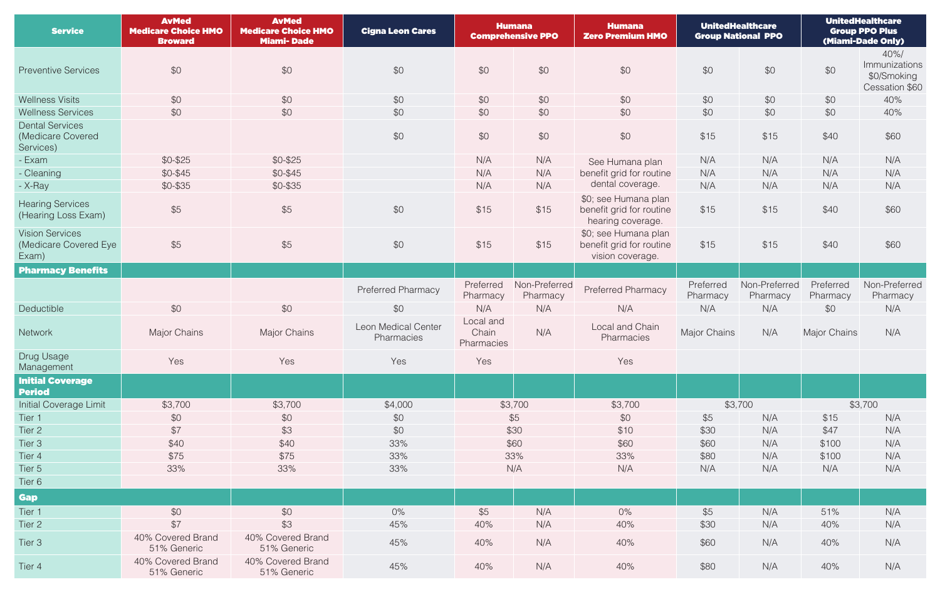| <b>Service</b>                                           | <b>AvMed</b><br><b>Medicare Choice HMO</b><br><b>Broward</b> | <b>AvMed</b><br><b>Medicare Choice HMO</b><br><b>Miami-Dade</b> | <b>Cigna Leon Cares</b>           | <b>Humana</b><br><b>Comprehensive PPO</b> |                           | <b>Humana</b><br><b>Zero Premium HMO</b>                              | <b>UnitedHealthcare</b><br><b>Group National PPO</b> |                           | <b>UnitedHealthcare</b><br><b>Group PPO Plus</b><br>(Miami-Dade Only) |                                                       |
|----------------------------------------------------------|--------------------------------------------------------------|-----------------------------------------------------------------|-----------------------------------|-------------------------------------------|---------------------------|-----------------------------------------------------------------------|------------------------------------------------------|---------------------------|-----------------------------------------------------------------------|-------------------------------------------------------|
| <b>Preventive Services</b>                               | \$0                                                          | \$0                                                             | \$0                               | \$0                                       | \$0                       | \$0                                                                   | \$0                                                  | \$0                       | \$0                                                                   | 40%<br>Immunizations<br>\$0/Smoking<br>Cessation \$60 |
| <b>Wellness Visits</b>                                   | \$0                                                          | \$0                                                             | \$0                               | \$0                                       | \$0                       | \$0                                                                   | \$0                                                  | \$0                       | \$0                                                                   | 40%                                                   |
| <b>Wellness Services</b>                                 | \$0                                                          | \$0                                                             | \$0                               | \$0                                       | \$0                       | \$0                                                                   | \$0                                                  | \$0                       | \$0                                                                   | 40%                                                   |
| <b>Dental Services</b><br>(Medicare Covered<br>Services) |                                                              |                                                                 | \$0                               | \$0                                       | \$0                       | \$0                                                                   | \$15                                                 | \$15                      | \$40                                                                  | \$60                                                  |
| - Exam                                                   | $$0-$25$                                                     | $$0-$25$                                                        |                                   | N/A                                       | N/A                       | See Humana plan                                                       | N/A                                                  | N/A                       | N/A                                                                   | N/A                                                   |
| - Cleaning                                               | \$0-\$45                                                     | $$0-$45$                                                        |                                   | N/A                                       | N/A                       | benefit grid for routine                                              | N/A                                                  | N/A                       | N/A                                                                   | N/A                                                   |
| - X-Ray                                                  | $$0-$35$                                                     | $$0-$35$                                                        |                                   | N/A                                       | N/A                       | dental coverage.                                                      | N/A                                                  | N/A                       | N/A                                                                   | N/A                                                   |
| <b>Hearing Services</b><br>(Hearing Loss Exam)           | \$5                                                          | \$5                                                             | \$0                               | \$15                                      | \$15                      | \$0; see Humana plan<br>benefit grid for routine<br>hearing coverage. | \$15                                                 | \$15                      | \$40                                                                  | \$60                                                  |
| <b>Vision Services</b><br>(Medicare Covered Eye<br>Exam) | \$5                                                          | \$5                                                             | \$0                               | \$15                                      | \$15                      | \$0; see Humana plan<br>benefit grid for routine<br>vision coverage.  | \$15                                                 | \$15                      | \$40                                                                  | \$60                                                  |
| <b>Pharmacy Benefits</b>                                 |                                                              |                                                                 |                                   |                                           |                           |                                                                       |                                                      |                           |                                                                       |                                                       |
|                                                          |                                                              |                                                                 | Preferred Pharmacy                | Preferred<br>Pharmacy                     | Non-Preferred<br>Pharmacy | <b>Preferred Pharmacy</b>                                             | Preferred<br>Pharmacy                                | Non-Preferred<br>Pharmacy | Preferred<br>Pharmacy                                                 | Non-Preferred<br>Pharmacy                             |
| Deductible                                               | \$0                                                          | \$0                                                             | \$0                               | N/A                                       | N/A                       | N/A                                                                   | N/A                                                  | N/A                       | \$0                                                                   | N/A                                                   |
| <b>Network</b>                                           | <b>Major Chains</b>                                          | <b>Major Chains</b>                                             | Leon Medical Center<br>Pharmacies | Local and<br>Chain<br>Pharmacies          | N/A                       | Local and Chain<br>Pharmacies                                         | Major Chains                                         | N/A                       | <b>Major Chains</b>                                                   | N/A                                                   |
| Drug Usage<br>Management                                 | Yes                                                          | Yes                                                             | Yes                               | Yes                                       |                           | Yes                                                                   |                                                      |                           |                                                                       |                                                       |
| <b>Initial Coverage</b><br><b>Period</b>                 |                                                              |                                                                 |                                   |                                           |                           |                                                                       |                                                      |                           |                                                                       |                                                       |
| <b>Initial Coverage Limit</b>                            | \$3,700                                                      | \$3,700                                                         | \$4,000                           |                                           | \$3,700                   | \$3,700                                                               | \$3,700                                              |                           | \$3,700                                                               |                                                       |
| Tier 1                                                   | \$0                                                          | \$0                                                             | \$0                               |                                           | \$5                       | \$0                                                                   | \$5                                                  | N/A                       | \$15                                                                  | N/A                                                   |
| Tier 2                                                   | \$7                                                          | \$3                                                             | \$0                               |                                           | \$30                      | \$10                                                                  | \$30                                                 | N/A                       | \$47                                                                  | N/A                                                   |
| Tier 3                                                   | \$40                                                         | \$40                                                            | 33%                               |                                           | \$60                      | \$60                                                                  | \$60                                                 | N/A                       | \$100                                                                 | N/A                                                   |
| Tier 4                                                   | \$75                                                         | \$75                                                            | 33%                               |                                           | 33%                       | 33%                                                                   | \$80                                                 | N/A                       | \$100                                                                 | N/A                                                   |
| Tier 5                                                   | 33%                                                          | 33%                                                             | 33%                               |                                           | N/A                       | N/A                                                                   | N/A                                                  | N/A                       | N/A                                                                   | N/A                                                   |
| Tier 6                                                   |                                                              |                                                                 |                                   |                                           |                           |                                                                       |                                                      |                           |                                                                       |                                                       |
| <b>Gap</b>                                               |                                                              |                                                                 |                                   |                                           |                           |                                                                       |                                                      |                           |                                                                       |                                                       |
| Tier 1                                                   | \$0                                                          | \$0                                                             | $0\%$                             | \$5                                       | N/A                       | $0\%$                                                                 | \$5                                                  | N/A                       | 51%                                                                   | N/A                                                   |
| Tier 2                                                   | \$7                                                          | \$3                                                             | 45%                               | 40%                                       | N/A                       | 40%                                                                   | \$30                                                 | N/A                       | 40%                                                                   | N/A                                                   |
| Tier 3                                                   | 40% Covered Brand<br>51% Generic                             | 40% Covered Brand<br>51% Generic                                | 45%                               | 40%                                       | N/A                       | 40%                                                                   | \$60                                                 | N/A                       | 40%                                                                   | N/A                                                   |
| Tier 4                                                   | 40% Covered Brand<br>51% Generic                             | 40% Covered Brand<br>51% Generic                                | 45%                               | 40%                                       | N/A                       | 40%                                                                   | \$80                                                 | N/A                       | 40%                                                                   | N/A                                                   |